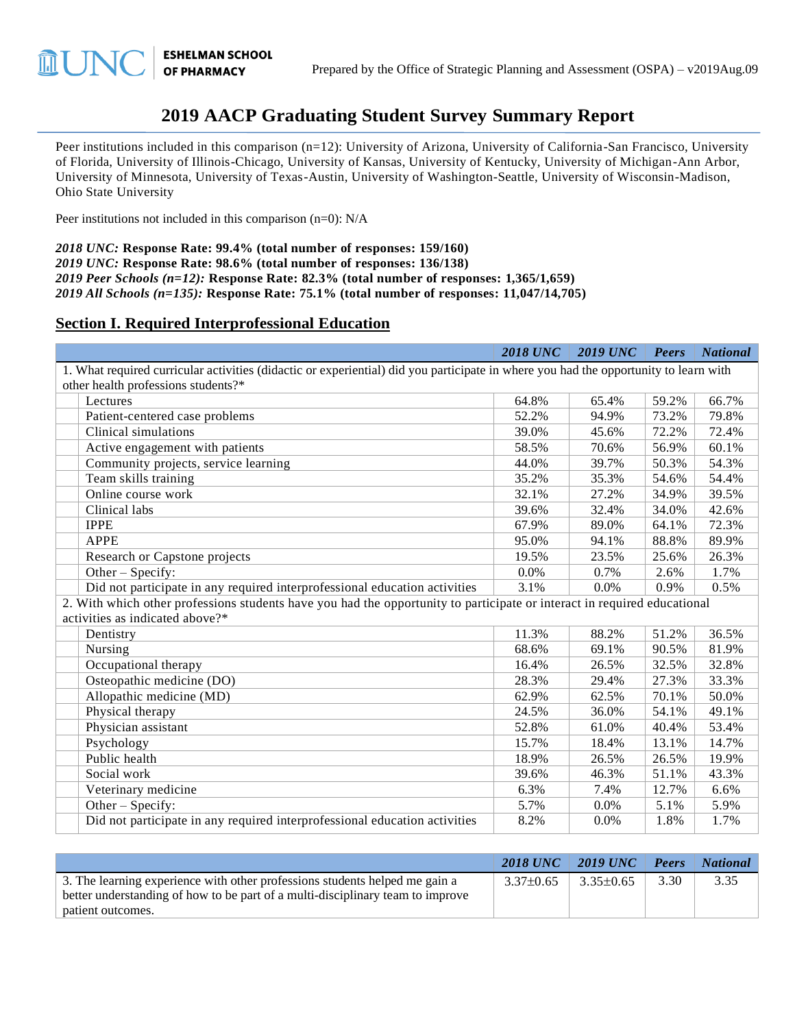# **2019 AACP Graduating Student Survey Summary Report**

Peer institutions included in this comparison (n=12): University of Arizona, University of California-San Francisco, University of Florida, University of Illinois-Chicago, University of Kansas, University of Kentucky, University of Michigan-Ann Arbor, University of Minnesota, University of Texas-Austin, University of Washington-Seattle, University of Wisconsin-Madison, Ohio State University

Peer institutions not included in this comparison (n=0): N/A

**ESHELMAN SCHOOL** 

**OF PHARMACY** 

而 【 】

*2018 UNC:* **Response Rate: 99.4% (total number of responses: 159/160)** *2019 UNC:* **Response Rate: 98.6% (total number of responses: 136/138)** *2019 Peer Schools (n=12):* **Response Rate: 82.3% (total number of responses: 1,365/1,659)** *2019 All Schools (n=135):* **Response Rate: 75.1% (total number of responses: 11,047/14,705)**

#### **Section I. Required Interprofessional Education**

|                                                                                                                                      | <b>2018 UNC</b> | <b>2019 UNC</b> | <b>Peers</b> | <b>National</b> |  |  |
|--------------------------------------------------------------------------------------------------------------------------------------|-----------------|-----------------|--------------|-----------------|--|--|
| 1. What required curricular activities (didactic or experiential) did you participate in where you had the opportunity to learn with |                 |                 |              |                 |  |  |
| other health professions students?*                                                                                                  |                 |                 |              |                 |  |  |
| Lectures                                                                                                                             | 64.8%           | 65.4%           | 59.2%        | 66.7%           |  |  |
| Patient-centered case problems                                                                                                       | 52.2%           | 94.9%           | 73.2%        | 79.8%           |  |  |
| Clinical simulations                                                                                                                 | 39.0%           | 45.6%           | 72.2%        | 72.4%           |  |  |
| Active engagement with patients                                                                                                      | 58.5%           | 70.6%           | 56.9%        | 60.1%           |  |  |
| Community projects, service learning                                                                                                 | 44.0%           | 39.7%           | 50.3%        | 54.3%           |  |  |
| Team skills training                                                                                                                 | 35.2%           | 35.3%           | 54.6%        | 54.4%           |  |  |
| Online course work                                                                                                                   | 32.1%           | 27.2%           | 34.9%        | 39.5%           |  |  |
| Clinical labs                                                                                                                        | 39.6%           | 32.4%           | 34.0%        | 42.6%           |  |  |
| <b>IPPE</b>                                                                                                                          | 67.9%           | 89.0%           | 64.1%        | 72.3%           |  |  |
| <b>APPE</b>                                                                                                                          | 95.0%           | 94.1%           | 88.8%        | 89.9%           |  |  |
| Research or Capstone projects                                                                                                        | 19.5%           | 23.5%           | 25.6%        | 26.3%           |  |  |
| Other - Specify:                                                                                                                     | 0.0%            | 0.7%            | 2.6%         | 1.7%            |  |  |
| Did not participate in any required interprofessional education activities                                                           | 3.1%            | 0.0%            | 0.9%         | 0.5%            |  |  |
| 2. With which other professions students have you had the opportunity to participate or interact in required educational             |                 |                 |              |                 |  |  |
| activities as indicated above?*                                                                                                      |                 |                 |              |                 |  |  |
| Dentistry                                                                                                                            | 11.3%           | 88.2%           | 51.2%        | 36.5%           |  |  |
| Nursing                                                                                                                              | 68.6%           | 69.1%           | 90.5%        | 81.9%           |  |  |
| Occupational therapy                                                                                                                 | 16.4%           | 26.5%           | 32.5%        | 32.8%           |  |  |
| Osteopathic medicine (DO)                                                                                                            | 28.3%           | 29.4%           | 27.3%        | 33.3%           |  |  |
| Allopathic medicine (MD)                                                                                                             | 62.9%           | 62.5%           | 70.1%        | 50.0%           |  |  |
| Physical therapy                                                                                                                     | 24.5%           | 36.0%           | 54.1%        | 49.1%           |  |  |
| Physician assistant                                                                                                                  | 52.8%           | 61.0%           | 40.4%        | 53.4%           |  |  |
| Psychology                                                                                                                           | 15.7%           | 18.4%           | 13.1%        | 14.7%           |  |  |
| Public health                                                                                                                        | 18.9%           | 26.5%           | 26.5%        | 19.9%           |  |  |
| Social work                                                                                                                          | 39.6%           | 46.3%           | 51.1%        | 43.3%           |  |  |
| Veterinary medicine                                                                                                                  | 6.3%            | 7.4%            | 12.7%        | 6.6%            |  |  |
| Other - Specify:                                                                                                                     | 5.7%            | 0.0%            | 5.1%         | 5.9%            |  |  |
| Did not participate in any required interprofessional education activities                                                           | 8.2%            | 0.0%            | 1.8%         | 1.7%            |  |  |

|                                                                                | 2018 UNC      | 2019 UNC $\parallel$ | Peers | <b>National</b> |
|--------------------------------------------------------------------------------|---------------|----------------------|-------|-----------------|
| 3. The learning experience with other professions students helped me gain a    | $3.37\pm0.65$ | $3.35\pm0.65$        | 3.30  | 3.35            |
| better understanding of how to be part of a multi-disciplinary team to improve |               |                      |       |                 |
| patient outcomes.                                                              |               |                      |       |                 |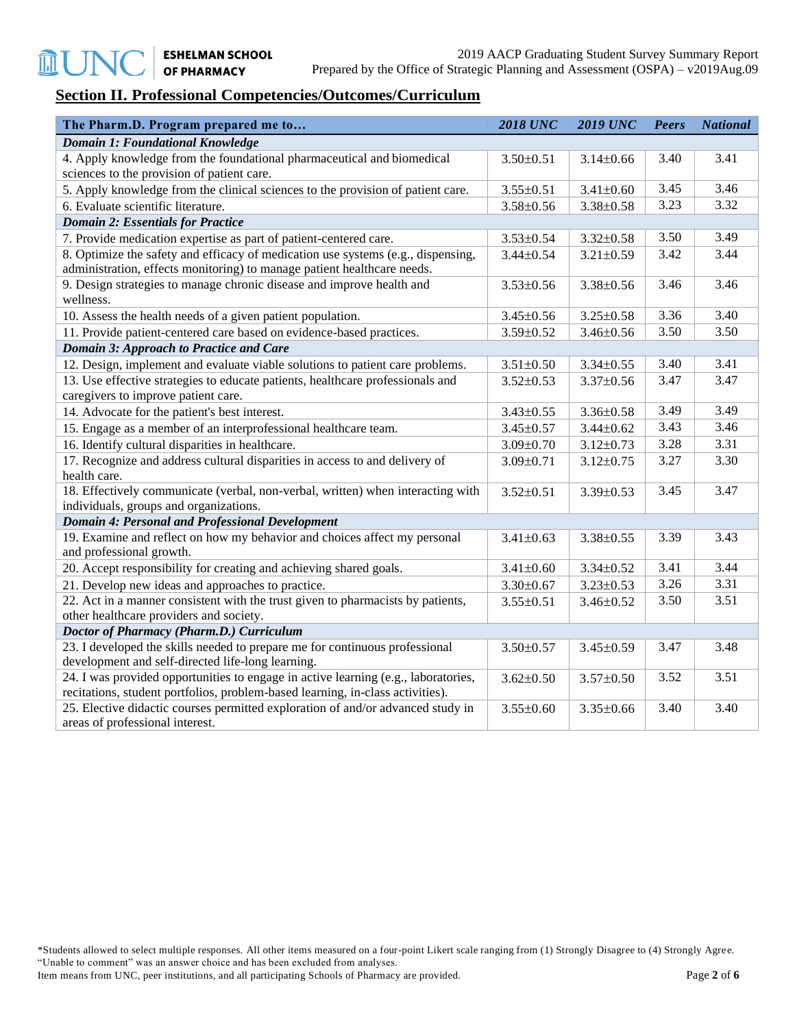### **Section II. Professional Competencies/Outcomes/Curriculum**

| The Pharm.D. Program prepared me to                                                | <b>2018 UNC</b> | <b>2019 UNC</b> | <b>Peers</b> | <b>National</b> |
|------------------------------------------------------------------------------------|-----------------|-----------------|--------------|-----------------|
| <b>Domain 1: Foundational Knowledge</b>                                            |                 |                 |              |                 |
| 4. Apply knowledge from the foundational pharmaceutical and biomedical             | $3.50 \pm 0.51$ | $3.14 \pm 0.66$ | 3.40         | 3.41            |
| sciences to the provision of patient care.                                         |                 |                 |              |                 |
| 5. Apply knowledge from the clinical sciences to the provision of patient care.    | $3.55 \pm 0.51$ | $3.41 \pm 0.60$ | 3.45         | 3.46            |
| 6. Evaluate scientific literature.                                                 | $3.58 \pm 0.56$ | $3.38 \pm 0.58$ | 3.23         | 3.32            |
| <b>Domain 2: Essentials for Practice</b>                                           |                 |                 |              |                 |
| 7. Provide medication expertise as part of patient-centered care.                  | $3.53 \pm 0.54$ | $3.32 \pm 0.58$ | 3.50         | 3.49            |
| 8. Optimize the safety and efficacy of medication use systems (e.g., dispensing,   | $3.44 \pm 0.54$ | $3.21 \pm 0.59$ | 3.42         | 3.44            |
| administration, effects monitoring) to manage patient healthcare needs.            |                 |                 |              |                 |
| 9. Design strategies to manage chronic disease and improve health and<br>wellness. | $3.53 \pm 0.56$ | $3.38 \pm 0.56$ | 3.46         | 3.46            |
| 10. Assess the health needs of a given patient population.                         | $3.45 \pm 0.56$ | $3.25 \pm 0.58$ | 3.36         | 3.40            |
| 11. Provide patient-centered care based on evidence-based practices.               | 3.59±0.52       | $3.46 \pm 0.56$ | 3.50         | 3.50            |
| <b>Domain 3: Approach to Practice and Care</b>                                     |                 |                 |              |                 |
| 12. Design, implement and evaluate viable solutions to patient care problems.      | $3.51 \pm 0.50$ | $3.34 \pm 0.55$ | 3.40         | 3.41            |
| 13. Use effective strategies to educate patients, healthcare professionals and     | $3.52 \pm 0.53$ | $3.37 \pm 0.56$ | 3.47         | 3.47            |
| caregivers to improve patient care.                                                |                 |                 |              |                 |
| 14. Advocate for the patient's best interest.                                      | $3.43 \pm 0.55$ | $3.36 \pm 0.58$ | 3.49         | 3.49            |
| 15. Engage as a member of an interprofessional healthcare team.                    | $3.45 \pm 0.57$ | $3.44 \pm 0.62$ | 3.43         | 3.46            |
| 16. Identify cultural disparities in healthcare.                                   | $3.09 \pm 0.70$ | $3.12 \pm 0.73$ | 3.28         | 3.31            |
| 17. Recognize and address cultural disparities in access to and delivery of        | $3.09 \pm 0.71$ | $3.12 \pm 0.75$ | 3.27         | 3.30            |
| health care.                                                                       |                 |                 |              |                 |
| 18. Effectively communicate (verbal, non-verbal, written) when interacting with    | $3.52 \pm 0.51$ | $3.39 \pm 0.53$ | 3.45         | 3.47            |
| individuals, groups and organizations.                                             |                 |                 |              |                 |
| <b>Domain 4: Personal and Professional Development</b>                             |                 |                 |              |                 |
| 19. Examine and reflect on how my behavior and choices affect my personal          | $3.41 \pm 0.63$ | $3.38 \pm 0.55$ | 3.39         | 3.43            |
| and professional growth.                                                           |                 |                 |              |                 |
| 20. Accept responsibility for creating and achieving shared goals.                 | $3.41 \pm 0.60$ | $3.34 \pm 0.52$ | 3.41         | 3.44            |
| 21. Develop new ideas and approaches to practice.                                  | $3.30 \pm 0.67$ | $3.23 \pm 0.53$ | 3.26         | 3.31            |
| 22. Act in a manner consistent with the trust given to pharmacists by patients,    | $3.55 \pm 0.51$ | $3.46 \pm 0.52$ | 3.50         | 3.51            |
| other healthcare providers and society.                                            |                 |                 |              |                 |
| Doctor of Pharmacy (Pharm.D.) Curriculum                                           |                 |                 |              |                 |
| 23. I developed the skills needed to prepare me for continuous professional        | $3.50 \pm 0.57$ | $3.45 \pm 0.59$ | 3.47         | 3.48            |
| development and self-directed life-long learning.                                  |                 |                 |              |                 |
| 24. I was provided opportunities to engage in active learning (e.g., laboratories, | $3.62 \pm 0.50$ | $3.57 \pm 0.50$ | 3.52         | 3.51            |
| recitations, student portfolios, problem-based learning, in-class activities).     |                 |                 |              |                 |
| 25. Elective didactic courses permitted exploration of and/or advanced study in    | $3.55 \pm 0.60$ | $3.35 \pm 0.66$ | 3.40         | 3.40            |
| areas of professional interest.                                                    |                 |                 |              |                 |

\*Students allowed to select multiple responses. All other items measured on a four-point Likert scale ranging from (1) Strongly Disagree to (4) Strongly Agree. "Unable to comment" was an answer choice and has been excluded from analyses.

Item means from UNC, peer institutions, and all participating Schools of Pharmacy are provided. Page 2 of **6**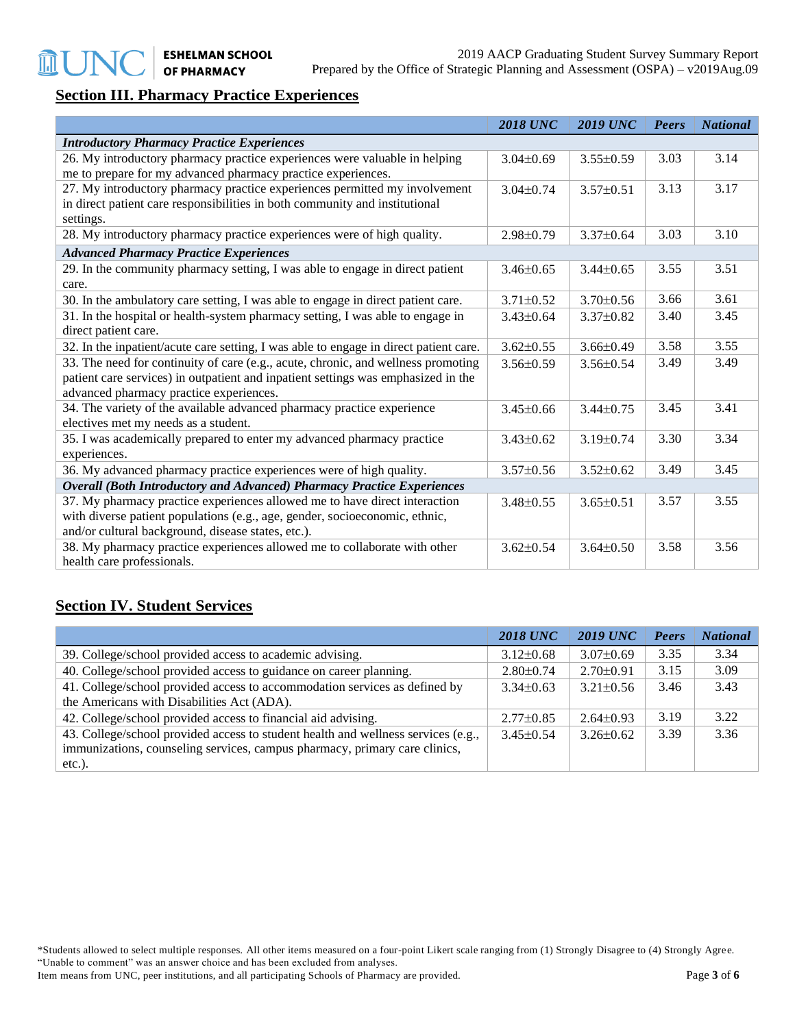## **Section III. Pharmacy Practice Experiences**

|                                                                                       | <b>2018 UNC</b> | <b>2019 UNC</b> | <b>Peers</b> | <b>National</b> |
|---------------------------------------------------------------------------------------|-----------------|-----------------|--------------|-----------------|
| <b>Introductory Pharmacy Practice Experiences</b>                                     |                 |                 |              |                 |
| 26. My introductory pharmacy practice experiences were valuable in helping            | $3.04\pm0.69$   | $3.55 \pm 0.59$ | 3.03         | 3.14            |
| me to prepare for my advanced pharmacy practice experiences.                          |                 |                 |              |                 |
| 27. My introductory pharmacy practice experiences permitted my involvement            | $3.04 \pm 0.74$ | $3.57 \pm 0.51$ | 3.13         | 3.17            |
| in direct patient care responsibilities in both community and institutional           |                 |                 |              |                 |
| settings.                                                                             |                 |                 |              |                 |
| 28. My introductory pharmacy practice experiences were of high quality.               | $2.98 \pm 0.79$ | $3.37 \pm 0.64$ | 3.03         | 3.10            |
| <b>Advanced Pharmacy Practice Experiences</b>                                         |                 |                 |              |                 |
| 29. In the community pharmacy setting, I was able to engage in direct patient         | $3.46 \pm 0.65$ | $3.44\pm0.65$   | 3.55         | 3.51            |
| care.                                                                                 |                 |                 |              |                 |
| 30. In the ambulatory care setting, I was able to engage in direct patient care.      | $3.71 \pm 0.52$ | $3.70 \pm 0.56$ | 3.66         | 3.61            |
| 31. In the hospital or health-system pharmacy setting, I was able to engage in        | $3.43\pm0.64$   | $3.37 \pm 0.82$ | 3.40         | 3.45            |
| direct patient care.                                                                  |                 |                 |              |                 |
| 32. In the inpatient/acute care setting, I was able to engage in direct patient care. | $3.62 \pm 0.55$ | $3.66 \pm 0.49$ | 3.58         | 3.55            |
| 33. The need for continuity of care (e.g., acute, chronic, and wellness promoting     | $3.56 \pm 0.59$ | $3.56 \pm 0.54$ | 3.49         | 3.49            |
| patient care services) in outpatient and inpatient settings was emphasized in the     |                 |                 |              |                 |
| advanced pharmacy practice experiences.                                               |                 |                 |              |                 |
| 34. The variety of the available advanced pharmacy practice experience                | $3.45 \pm 0.66$ | $3.44 \pm 0.75$ | 3.45         | 3.41            |
| electives met my needs as a student.                                                  |                 |                 |              |                 |
| 35. I was academically prepared to enter my advanced pharmacy practice                | $3.43 \pm 0.62$ | $3.19 \pm 0.74$ | 3.30         | 3.34            |
| experiences.                                                                          |                 |                 |              |                 |
| 36. My advanced pharmacy practice experiences were of high quality.                   | $3.57 \pm 0.56$ | $3.52 \pm 0.62$ | 3.49         | 3.45            |
| <b>Overall (Both Introductory and Advanced) Pharmacy Practice Experiences</b>         |                 |                 |              |                 |
| 37. My pharmacy practice experiences allowed me to have direct interaction            | $3.48 \pm 0.55$ | $3.65 \pm 0.51$ | 3.57         | 3.55            |
| with diverse patient populations (e.g., age, gender, socioeconomic, ethnic,           |                 |                 |              |                 |
| and/or cultural background, disease states, etc.).                                    |                 |                 |              |                 |
| 38. My pharmacy practice experiences allowed me to collaborate with other             | $3.62 \pm 0.54$ | $3.64 \pm 0.50$ | 3.58         | 3.56            |
| health care professionals.                                                            |                 |                 |              |                 |

#### **Section IV. Student Services**

|                                                                                   | <b>2018 UNC</b> | <b>2019 UNC</b> | Peers | <b>National</b> |
|-----------------------------------------------------------------------------------|-----------------|-----------------|-------|-----------------|
| 39. College/school provided access to academic advising.                          | $3.12\pm0.68$   | $3.07 \pm 0.69$ | 3.35  | 3.34            |
| 40. College/school provided access to guidance on career planning.                | $2.80 \pm 0.74$ | $2.70 \pm 0.91$ | 3.15  | 3.09            |
| 41. College/school provided access to accommodation services as defined by        | $3.34\pm0.63$   | $3.21 \pm 0.56$ | 3.46  | 3.43            |
| the Americans with Disabilities Act (ADA).                                        |                 |                 |       |                 |
| 42. College/school provided access to financial aid advising.                     | $2.77\pm0.85$   | $2.64\pm0.93$   | 3.19  | 3.22            |
| 43. College/school provided access to student health and wellness services (e.g., | $3.45\pm0.54$   | $3.26 \pm 0.62$ | 3.39  | 3.36            |
| immunizations, counseling services, campus pharmacy, primary care clinics,        |                 |                 |       |                 |
| $etc.$ ).                                                                         |                 |                 |       |                 |

\*Students allowed to select multiple responses. All other items measured on a four-point Likert scale ranging from (1) Strongly Disagree to (4) Strongly Agree. "Unable to comment" was an answer choice and has been excluded from analyses.

Item means from UNC, peer institutions, and all participating Schools of Pharmacy are provided. Page 3 of **6**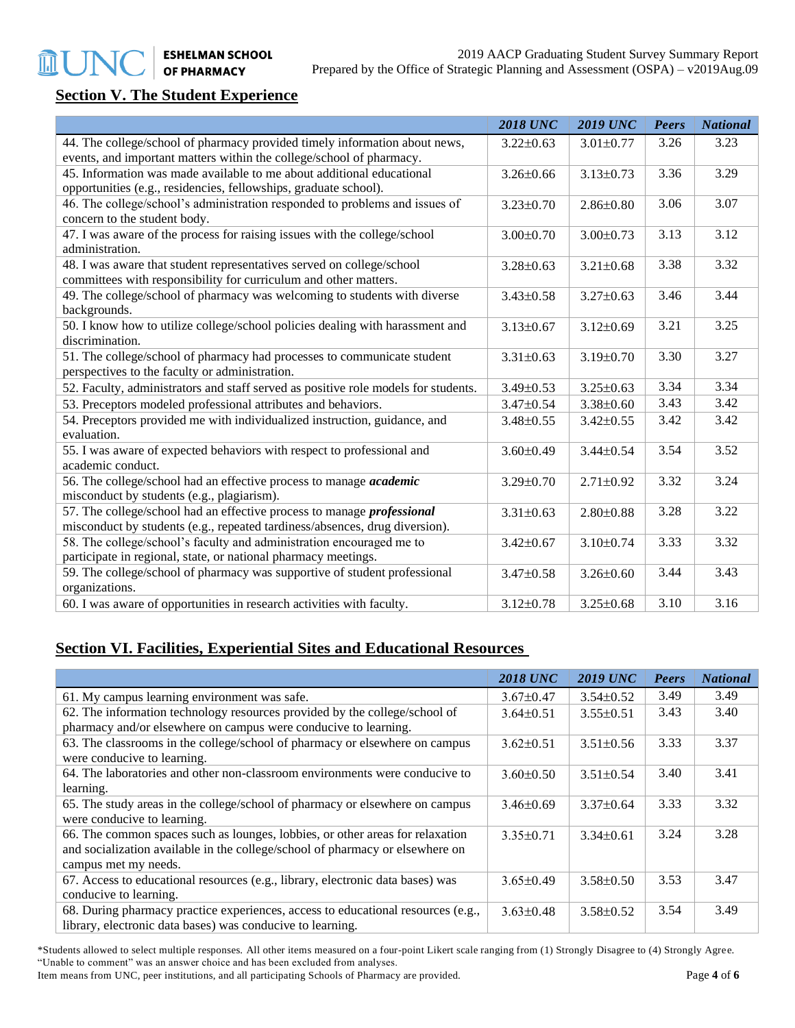# **Section V. The Student Experience**

**血UT** 

|                                                                                                                                                              | <b>2018 UNC</b> | <b>2019 UNC</b> | Peers | <b>National</b> |
|--------------------------------------------------------------------------------------------------------------------------------------------------------------|-----------------|-----------------|-------|-----------------|
| 44. The college/school of pharmacy provided timely information about news,                                                                                   | $3.22 \pm 0.63$ | $3.01 \pm 0.77$ | 3.26  | 3.23            |
| events, and important matters within the college/school of pharmacy.                                                                                         |                 |                 |       |                 |
| 45. Information was made available to me about additional educational<br>opportunities (e.g., residencies, fellowships, graduate school).                    | $3.26 \pm 0.66$ | $3.13 \pm 0.73$ | 3.36  | 3.29            |
| 46. The college/school's administration responded to problems and issues of<br>concern to the student body.                                                  | $3.23 \pm 0.70$ | $2.86 \pm 0.80$ | 3.06  | 3.07            |
| 47. I was aware of the process for raising issues with the college/school<br>administration.                                                                 | $3.00 \pm 0.70$ | $3.00 \pm 0.73$ | 3.13  | 3.12            |
| 48. I was aware that student representatives served on college/school<br>committees with responsibility for curriculum and other matters.                    | $3.28 \pm 0.63$ | $3.21 \pm 0.68$ | 3.38  | 3.32            |
| 49. The college/school of pharmacy was welcoming to students with diverse<br>backgrounds.                                                                    | $3.43 \pm 0.58$ | $3.27 \pm 0.63$ | 3.46  | 3.44            |
| 50. I know how to utilize college/school policies dealing with harassment and<br>discrimination.                                                             | $3.13 \pm 0.67$ | $3.12 \pm 0.69$ | 3.21  | 3.25            |
| 51. The college/school of pharmacy had processes to communicate student<br>perspectives to the faculty or administration.                                    | $3.31 \pm 0.63$ | $3.19 \pm 0.70$ | 3.30  | 3.27            |
| 52. Faculty, administrators and staff served as positive role models for students.                                                                           | 3.49±0.53       | $3.25 \pm 0.63$ | 3.34  | 3.34            |
| 53. Preceptors modeled professional attributes and behaviors.                                                                                                | $3.47 \pm 0.54$ | $3.38 \pm 0.60$ | 3.43  | 3.42            |
| 54. Preceptors provided me with individualized instruction, guidance, and<br>evaluation.                                                                     | $3.48 \pm 0.55$ | $3.42 \pm 0.55$ | 3.42  | 3.42            |
| 55. I was aware of expected behaviors with respect to professional and<br>academic conduct.                                                                  | $3.60 \pm 0.49$ | $3.44 \pm 0.54$ | 3.54  | 3.52            |
| 56. The college/school had an effective process to manage <i>academic</i><br>misconduct by students (e.g., plagiarism).                                      | $3.29 \pm 0.70$ | $2.71 \pm 0.92$ | 3.32  | 3.24            |
| 57. The college/school had an effective process to manage <i>professional</i><br>misconduct by students (e.g., repeated tardiness/absences, drug diversion). | $3.31 \pm 0.63$ | $2.80 \pm 0.88$ | 3.28  | 3.22            |
| 58. The college/school's faculty and administration encouraged me to<br>participate in regional, state, or national pharmacy meetings.                       | $3.42 \pm 0.67$ | $3.10 \pm 0.74$ | 3.33  | 3.32            |
| 59. The college/school of pharmacy was supportive of student professional<br>organizations.                                                                  | $3.47 \pm 0.58$ | $3.26 \pm 0.60$ | 3.44  | 3.43            |
| 60. I was aware of opportunities in research activities with faculty.                                                                                        | $3.12 \pm 0.78$ | $3.25 \pm 0.68$ | 3.10  | 3.16            |

### **Section VI. Facilities, Experiential Sites and Educational Resources**

|                                                                                  | <b>2018 UNC</b> | <b>2019 UNC</b> | Peers | <b>National</b> |
|----------------------------------------------------------------------------------|-----------------|-----------------|-------|-----------------|
| 61. My campus learning environment was safe.                                     | $3.67 \pm 0.47$ | $3.54 \pm 0.52$ | 3.49  | 3.49            |
| 62. The information technology resources provided by the college/school of       | $3.64\pm0.51$   | $3.55 \pm 0.51$ | 3.43  | 3.40            |
| pharmacy and/or elsewhere on campus were conducive to learning.                  |                 |                 |       |                 |
| 63. The classrooms in the college/school of pharmacy or elsewhere on campus      | $3.62 \pm 0.51$ | $3.51 \pm 0.56$ | 3.33  | 3.37            |
| were conducive to learning.                                                      |                 |                 |       |                 |
| 64. The laboratories and other non-classroom environments were conducive to      | $3.60 \pm 0.50$ | $3.51 \pm 0.54$ | 3.40  | 3.41            |
| learning.                                                                        |                 |                 |       |                 |
| 65. The study areas in the college/school of pharmacy or elsewhere on campus     | $3.46\pm0.69$   | $3.37\pm0.64$   | 3.33  | 3.32            |
| were conducive to learning.                                                      |                 |                 |       |                 |
| 66. The common spaces such as lounges, lobbies, or other areas for relaxation    | $3.35 \pm 0.71$ | $3.34\pm0.61$   | 3.24  | 3.28            |
| and socialization available in the college/school of pharmacy or elsewhere on    |                 |                 |       |                 |
| campus met my needs.                                                             |                 |                 |       |                 |
| 67. Access to educational resources (e.g., library, electronic data bases) was   | $3.65 \pm 0.49$ | $3.58 \pm 0.50$ | 3.53  | 3.47            |
| conducive to learning.                                                           |                 |                 |       |                 |
| 68. During pharmacy practice experiences, access to educational resources (e.g., | $3.63 \pm 0.48$ | $3.58 \pm 0.52$ | 3.54  | 3.49            |
| library, electronic data bases) was conducive to learning.                       |                 |                 |       |                 |

\*Students allowed to select multiple responses. All other items measured on a four-point Likert scale ranging from (1) Strongly Disagree to (4) Strongly Agree. "Unable to comment" was an answer choice and has been excluded from analyses.

Item means from UNC, peer institutions, and all participating Schools of Pharmacy are provided. Page 4 of **6** Pharmacy are provided.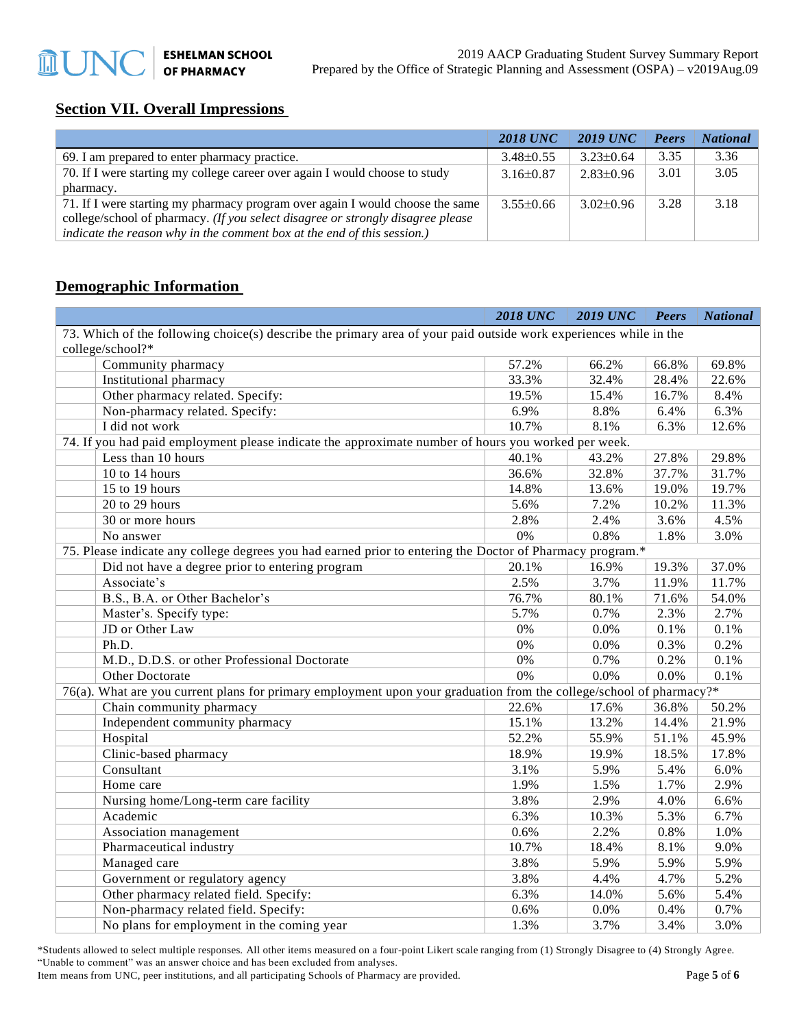## **Section VII. Overall Impressions**

|                                                                                 | <b>2018 UNC</b> | 2019 UNC        | Peers | <b>National</b> |
|---------------------------------------------------------------------------------|-----------------|-----------------|-------|-----------------|
| 69. I am prepared to enter pharmacy practice.                                   | $3.48\pm0.55$   | $3.23 \pm 0.64$ | 3.35  | 3.36            |
| 70. If I were starting my college career over again I would choose to study     | $3.16\pm0.87$   | $2.83 \pm 0.96$ | 3.01  | 3.05            |
| pharmacy.                                                                       |                 |                 |       |                 |
| 71. If I were starting my pharmacy program over again I would choose the same   | $3.55\pm0.66$   | $3.02 \pm 0.96$ | 3.28  | 3.18            |
| college/school of pharmacy. (If you select disagree or strongly disagree please |                 |                 |       |                 |
| indicate the reason why in the comment box at the end of this session.)         |                 |                 |       |                 |

#### **Demographic Information**

|                                                                                                                     | <b>2018 UNC</b> | <b>2019 UNC</b> | <b>Peers</b> | <b>National</b> |
|---------------------------------------------------------------------------------------------------------------------|-----------------|-----------------|--------------|-----------------|
| 73. Which of the following choice(s) describe the primary area of your paid outside work experiences while in the   |                 |                 |              |                 |
| college/school?*                                                                                                    |                 |                 |              |                 |
| Community pharmacy                                                                                                  | 57.2%           | 66.2%           | 66.8%        | 69.8%           |
| Institutional pharmacy                                                                                              | 33.3%           | 32.4%           | 28.4%        | 22.6%           |
| Other pharmacy related. Specify:                                                                                    | 19.5%           | 15.4%           | 16.7%        | 8.4%            |
| Non-pharmacy related. Specify:                                                                                      | 6.9%            | 8.8%            | 6.4%         | 6.3%            |
| I did not work                                                                                                      | 10.7%           | 8.1%            | 6.3%         | 12.6%           |
| 74. If you had paid employment please indicate the approximate number of hours you worked per week.                 |                 |                 |              |                 |
| Less than 10 hours                                                                                                  | 40.1%           | 43.2%           | 27.8%        | 29.8%           |
| 10 to 14 hours                                                                                                      | 36.6%           | 32.8%           | 37.7%        | 31.7%           |
| 15 to 19 hours                                                                                                      | 14.8%           | 13.6%           | 19.0%        | 19.7%           |
| 20 to 29 hours                                                                                                      | 5.6%            | 7.2%            | 10.2%        | 11.3%           |
| 30 or more hours                                                                                                    | 2.8%            | 2.4%            | 3.6%         | 4.5%            |
| No answer                                                                                                           | 0%              | 0.8%            | 1.8%         | 3.0%            |
| 75. Please indicate any college degrees you had earned prior to entering the Doctor of Pharmacy program.*           |                 |                 |              |                 |
| Did not have a degree prior to entering program                                                                     | 20.1%           | 16.9%           | 19.3%        | 37.0%           |
| Associate's                                                                                                         | 2.5%            | 3.7%            | 11.9%        | 11.7%           |
| B.S., B.A. or Other Bachelor's                                                                                      | 76.7%           | 80.1%           | 71.6%        | 54.0%           |
| Master's. Specify type:                                                                                             | 5.7%            | 0.7%            | 2.3%         | 2.7%            |
| JD or Other Law                                                                                                     | 0%              | 0.0%            | 0.1%         | 0.1%            |
| Ph.D.                                                                                                               | 0%              | 0.0%            | 0.3%         | 0.2%            |
| M.D., D.D.S. or other Professional Doctorate                                                                        | 0%              | 0.7%            | 0.2%         | 0.1%            |
| Other Doctorate                                                                                                     | 0%              | 0.0%            | 0.0%         | 0.1%            |
| 76(a). What are you current plans for primary employment upon your graduation from the college/school of pharmacy?* |                 |                 |              |                 |
| Chain community pharmacy                                                                                            | 22.6%           | 17.6%           | 36.8%        | 50.2%           |
| Independent community pharmacy                                                                                      | 15.1%           | 13.2%           | 14.4%        | 21.9%           |
| Hospital                                                                                                            | 52.2%           | 55.9%           | 51.1%        | 45.9%           |
| Clinic-based pharmacy                                                                                               | 18.9%           | 19.9%           | 18.5%        | 17.8%           |
| Consultant                                                                                                          | 3.1%            | 5.9%            | 5.4%         | 6.0%            |
| Home care                                                                                                           | 1.9%            | 1.5%            | 1.7%         | 2.9%            |
| Nursing home/Long-term care facility                                                                                | 3.8%            | 2.9%            | 4.0%         | 6.6%            |
| Academic                                                                                                            | 6.3%            | 10.3%           | 5.3%         | 6.7%            |
| Association management                                                                                              | 0.6%            | 2.2%            | 0.8%         | 1.0%            |
| Pharmaceutical industry                                                                                             | 10.7%           | 18.4%           | 8.1%         | 9.0%            |
| Managed care                                                                                                        | 3.8%            | 5.9%            | 5.9%         | 5.9%            |
| Government or regulatory agency                                                                                     | 3.8%            | 4.4%            | 4.7%         | 5.2%            |
| Other pharmacy related field. Specify:                                                                              | 6.3%            | 14.0%           | 5.6%         | 5.4%            |
| Non-pharmacy related field. Specify:                                                                                | 0.6%            | 0.0%            | 0.4%         | 0.7%            |
| No plans for employment in the coming year                                                                          | 1.3%            | 3.7%            | 3.4%         | 3.0%            |

\*Students allowed to select multiple responses. All other items measured on a four-point Likert scale ranging from (1) Strongly Disagree to (4) Strongly Agree. "Unable to comment" was an answer choice and has been excluded from analyses.

Item means from UNC, peer institutions, and all participating Schools of Pharmacy are provided. Page 5 of **6** Pharmacy are provided.